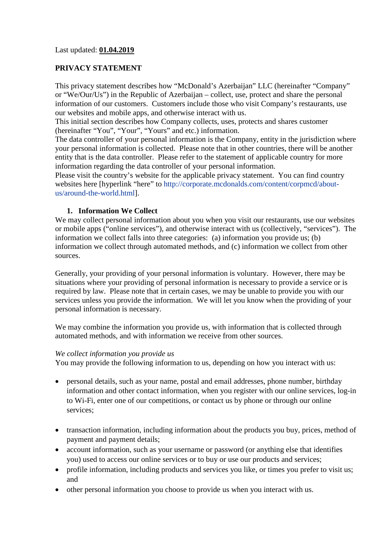Last updated: **01.04.2019**

## **PRIVACY STATEMENT**

This privacy statement describes how "McDonald's Azerbaijan" LLC (hereinafter "Company" or "We/Our/Us") in the Republic of Azerbaijan – collect, use, protect and share the personal information of our customers. Customers include those who visit Company's restaurants, use our websites and mobile apps, and otherwise interact with us.

This initial section describes how Company collects, uses, protects and shares customer (hereinafter "You", "Your", "Yours" and etc.) information.

The data controller of your personal information is the Company, entity in the jurisdiction where your personal information is collected. Please note that in other countries, there will be another entity that is the data controller. Please refer to the statement of applicable country for more information regarding the data controller of your personal information.

Please visit the country's website for the applicable privacy statement. You can find country websites here [hyperlink "here" to [http://corporate.mcdonalds.com/content/corpmcd/about](http://corporate.mcdonalds.com/content/corpmcd/about-us/around-the-world.html)[us/around-the-world.html\]](http://corporate.mcdonalds.com/content/corpmcd/about-us/around-the-world.html).

#### **1. Information We Collect**

We may collect personal information about you when you visit our restaurants, use our websites or mobile apps ("online services"), and otherwise interact with us (collectively, "services"). The information we collect falls into three categories: (a) information you provide us; (b) information we collect through automated methods, and (c) information we collect from other sources.

Generally, your providing of your personal information is voluntary. However, there may be situations where your providing of personal information is necessary to provide a service or is required by law. Please note that in certain cases, we may be unable to provide you with our services unless you provide the information. We will let you know when the providing of your personal information is necessary.

We may combine the information you provide us, with information that is collected through automated methods, and with information we receive from other sources.

#### *We collect information you provide us*

You may provide the following information to us, depending on how you interact with us:

- personal details, such as your name, postal and email addresses, phone number, birthday information and other contact information, when you register with our online services, log-in to Wi-Fi, enter one of our competitions, or contact us by phone or through our online services;
- transaction information, including information about the products you buy, prices, method of payment and payment details;
- account information, such as your username or password (or anything else that identifies you) used to access our online services or to buy or use our products and services;
- profile information, including products and services you like, or times you prefer to visit us; and
- other personal information you choose to provide us when you interact with us.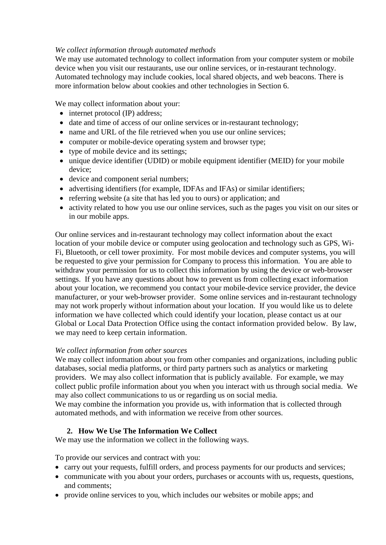## *We collect information through automated methods*

We may use automated technology to collect information from your computer system or mobile device when you visit our restaurants, use our online services, or in-restaurant technology. Automated technology may include cookies, local shared objects, and web beacons. There is more information below about cookies and other technologies in Section 6.

We may collect information about your:

- internet protocol (IP) address:
- date and time of access of our online services or in-restaurant technology;
- name and URL of the file retrieved when you use our online services;
- computer or mobile-device operating system and browser type;
- type of mobile device and its settings;
- unique device identifier (UDID) or mobile equipment identifier (MEID) for your mobile device;
- device and component serial numbers;
- advertising identifiers (for example, IDFAs and IFAs) or similar identifiers;
- referring website (a site that has led you to ours) or application; and
- activity related to how you use our online services, such as the pages you visit on our sites or in our mobile apps.

Our online services and in-restaurant technology may collect information about the exact location of your mobile device or computer using geolocation and technology such as GPS, Wi-Fi, Bluetooth, or cell tower proximity. For most mobile devices and computer systems, you will be requested to give your permission for Company to process this information. You are able to withdraw your permission for us to collect this information by using the device or web-browser settings. If you have any questions about how to prevent us from collecting exact information about your location, we recommend you contact your mobile-device service provider, the device manufacturer, or your web-browser provider. Some online services and in-restaurant technology may not work properly without information about your location. If you would like us to delete information we have collected which could identify your location, please contact us at our Global or Local Data Protection Office using the contact information provided below. By law, we may need to keep certain information.

## *We collect information from other sources*

We may collect information about you from other companies and organizations, including public databases, social media platforms, or third party partners such as analytics or marketing providers. We may also collect information that is publicly available. For example, we may collect public profile information about you when you interact with us through social media. We may also collect communications to us or regarding us on social media.

We may combine the information you provide us, with information that is collected through automated methods, and with information we receive from other sources.

# **2. How We Use The Information We Collect**

We may use the information we collect in the following ways.

To provide our services and contract with you:

- carry out your requests, fulfill orders, and process payments for our products and services;
- communicate with you about your orders, purchases or accounts with us, requests, questions, and comments;
- provide online services to you, which includes our websites or mobile apps; and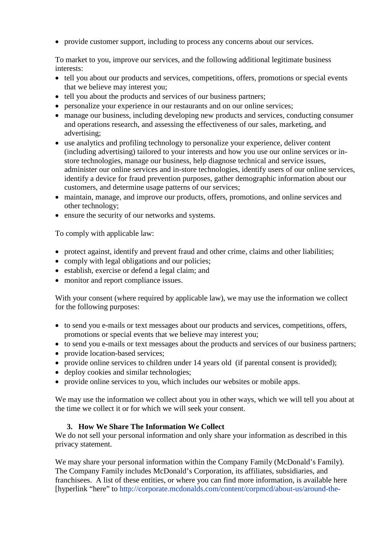• provide customer support, including to process any concerns about our services.

To market to you, improve our services, and the following additional legitimate business interests:

- tell you about our products and services, competitions, offers, promotions or special events that we believe may interest you;
- tell you about the products and services of our business partners;
- personalize your experience in our restaurants and on our online services;
- manage our business, including developing new products and services, conducting consumer and operations research, and assessing the effectiveness of our sales, marketing, and advertising;
- use analytics and profiling technology to personalize your experience, deliver content (including advertising) tailored to your interests and how you use our online services or instore technologies, manage our business, help diagnose technical and service issues, administer our online services and in-store technologies, identify users of our online services, identify a device for fraud prevention purposes, gather demographic information about our customers, and determine usage patterns of our services;
- maintain, manage, and improve our products, offers, promotions, and online services and other technology;
- ensure the security of our networks and systems.

To comply with applicable law:

- protect against, identify and prevent fraud and other crime, claims and other liabilities;
- comply with legal obligations and our policies:
- establish, exercise or defend a legal claim; and
- monitor and report compliance issues.

With your consent (where required by applicable law), we may use the information we collect for the following purposes:

- to send you e-mails or text messages about our products and services, competitions, offers, promotions or special events that we believe may interest you;
- to send you e-mails or text messages about the products and services of our business partners;
- provide location-based services;
- provide online services to children under 14 years old (if parental consent is provided);
- deploy cookies and similar technologies:
- provide online services to you, which includes our websites or mobile apps.

We may use the information we collect about you in other ways, which we will tell you about at the time we collect it or for which we will seek your consent.

## **3. How We Share The Information We Collect**

We do not sell your personal information and only share your information as described in this privacy statement.

We may share your personal information within the Company Family (McDonald's Family). The Company Family includes McDonald's Corporation, its affiliates, subsidiaries, and franchisees. A list of these entities, or where you can find more information, is available here [hyperlink "here" to [http://corporate.mcdonalds.com/content/corpmcd/about-us/around-the-](http://corporate.mcdonalds.com/content/corpmcd/about-us/around-the-world.html)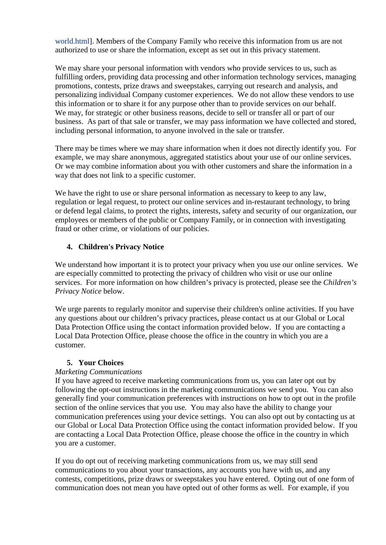[world.html\]](http://corporate.mcdonalds.com/content/corpmcd/about-us/around-the-world.html). Members of the Company Family who receive this information from us are not authorized to use or share the information, except as set out in this privacy statement.

We may share your personal information with vendors who provide services to us, such as fulfilling orders, providing data processing and other information technology services, managing promotions, contests, prize draws and sweepstakes, carrying out research and analysis, and personalizing individual Company customer experiences. We do not allow these vendors to use this information or to share it for any purpose other than to provide services on our behalf. We may, for strategic or other business reasons, decide to sell or transfer all or part of our business. As part of that sale or transfer, we may pass information we have collected and stored, including personal information, to anyone involved in the sale or transfer.

There may be times where we may share information when it does not directly identify you. For example, we may share anonymous, aggregated statistics about your use of our online services. Or we may combine information about you with other customers and share the information in a way that does not link to a specific customer.

We have the right to use or share personal information as necessary to keep to any law, regulation or legal request, to protect our online services and in-restaurant technology, to bring or defend legal claims, to protect the rights, interests, safety and security of our organization, our employees or members of the public or Company Family, or in connection with investigating fraud or other crime, or violations of our policies.

# **4. Children's Privacy Notice**

We understand how important it is to protect your privacy when you use our online services. We are especially committed to protecting the privacy of children who visit or use our online services. For more information on how children's privacy is protected, please see the *Children's Privacy Notice* below.

We urge parents to regularly monitor and supervise their children's online activities. If you have any questions about our children's privacy practices, please contact us at our Global or Local Data Protection Office using the contact information provided below. If you are contacting a Local Data Protection Office, please choose the office in the country in which you are a customer.

## **5. Your Choices**

# *Marketing Communications*

If you have agreed to receive marketing communications from us, you can later opt out by following the opt-out instructions in the marketing communications we send you. You can also generally find your communication preferences with instructions on how to opt out in the profile section of the online services that you use. You may also have the ability to change your communication preferences using your device settings. You can also opt out by contacting us at our Global or Local Data Protection Office using the contact information provided below. If you are contacting a Local Data Protection Office, please choose the office in the country in which you are a customer.

If you do opt out of receiving marketing communications from us, we may still send communications to you about your transactions, any accounts you have with us, and any contests, competitions, prize draws or sweepstakes you have entered. Opting out of one form of communication does not mean you have opted out of other forms as well. For example, if you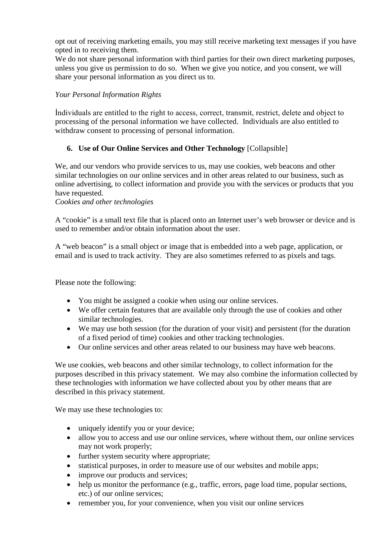opt out of receiving marketing emails, you may still receive marketing text messages if you have opted in to receiving them.

We do not share personal information with third parties for their own direct marketing purposes, unless you give us permission to do so. When we give you notice, and you consent, we will share your personal information as you direct us to.

## *Your Personal Information Rights*

İndividuals are entitled to the right to access, correct, transmit, restrict, delete and object to processing of the personal information we have collected. Individuals are also entitled to withdraw consent to processing of personal information.

# **6. Use of Our Online Services and Other Technology** [Collapsible]

We, and our vendors who provide services to us, may use cookies, web beacons and other similar technologies on our online services and in other areas related to our business, such as online advertising, to collect information and provide you with the services or products that you have requested.

#### *Cookies and other technologies*

A "cookie" is a small text file that is placed onto an Internet user's web browser or device and is used to remember and/or obtain information about the user.

A "web beacon" is a small object or image that is embedded into a web page, application, or email and is used to track activity. They are also sometimes referred to as pixels and tags.

Please note the following:

- You might be assigned a cookie when using our online services.
- We offer certain features that are available only through the use of cookies and other similar technologies.
- We may use both session (for the duration of your visit) and persistent (for the duration of a fixed period of time) cookies and other tracking technologies.
- Our online services and other areas related to our business may have web beacons.

We use cookies, web beacons and other similar technology, to collect information for the purposes described in this privacy statement. We may also combine the information collected by these technologies with information we have collected about you by other means that are described in this privacy statement.

We may use these technologies to:

- uniquely identify you or your device;
- allow you to access and use our online services, where without them, our online services may not work properly;
- further system security where appropriate;
- statistical purposes, in order to measure use of our websites and mobile apps;
- improve our products and services;
- help us monitor the performance (e.g., traffic, errors, page load time, popular sections, etc.) of our online services;
- remember you, for your convenience, when you visit our online services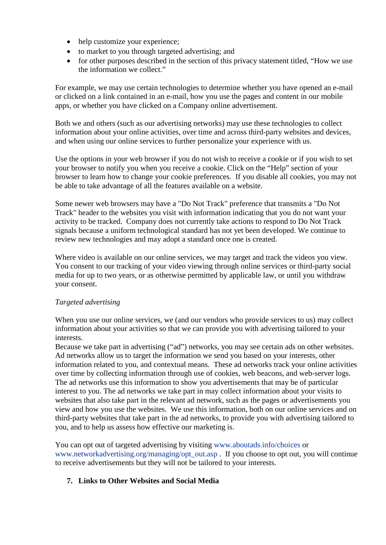- help customize your experience;
- to market to you through targeted advertising; and
- for other purposes described in the section of this privacy statement titled, "How we use the information we collect."

For example, we may use certain technologies to determine whether you have opened an e-mail or clicked on a link contained in an e-mail, how you use the pages and content in our mobile apps, or whether you have clicked on a Company online advertisement.

Both we and others (such as our advertising networks) may use these technologies to collect information about your online activities, over time and across third-party websites and devices, and when using our online services to further personalize your experience with us.

Use the options in your web browser if you do not wish to receive a cookie or if you wish to set your browser to notify you when you receive a cookie. Click on the "Help" section of your browser to learn how to change your cookie preferences. If you disable all cookies, you may not be able to take advantage of all the features available on a website.

Some newer web browsers may have a "Do Not Track" preference that transmits a "Do Not Track" header to the websites you visit with information indicating that you do not want your activity to be tracked. Company does not currently take actions to respond to Do Not Track signals because a uniform technological standard has not yet been developed. We continue to review new technologies and may adopt a standard once one is created.

Where video is available on our online services, we may target and track the videos you view. You consent to our tracking of your video viewing through online services or third-party social media for up to two years, or as otherwise permitted by applicable law, or until you withdraw your consent.

## *Targeted advertising*

When you use our online services, we (and our vendors who provide services to us) may collect information about your activities so that we can provide you with advertising tailored to your interests.

Because we take part in advertising ("ad") networks, you may see certain ads on other websites. Ad networks allow us to target the information we send you based on your interests, other information related to you, and contextual means. These ad networks track your online activities over time by collecting information through use of cookies, web beacons, and web-server logs. The ad networks use this information to show you advertisements that may be of particular interest to you. The ad networks we take part in may collect information about your visits to websites that also take part in the relevant ad network, such as the pages or advertisements you view and how you use the websites. We use this information, both on our online services and on third-party websites that take part in the ad networks, to provide you with advertising tailored to you, and to help us assess how effective our marketing is.

You can opt out of targeted advertising by visiting [www.aboutads.info/choices](http://www.aboutads.info/choices) or [www.networkadvertising.org/managing/opt\\_out.asp](http://www.networkadvertising.org/managing/opt_out.asp) . If you choose to opt out, you will continue to receive advertisements but they will not be tailored to your interests.

## **7. Links to Other Websites and Social Media**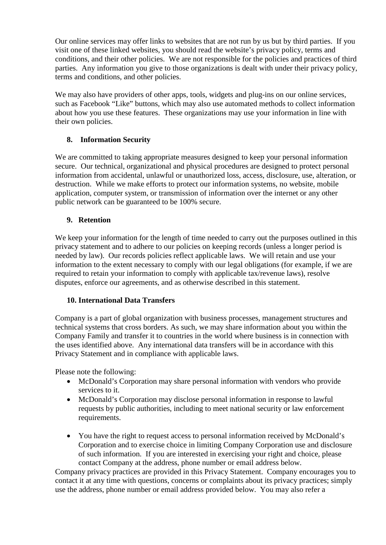Our online services may offer links to websites that are not run by us but by third parties. If you visit one of these linked websites, you should read the website's privacy policy, terms and conditions, and their other policies. We are not responsible for the policies and practices of third parties. Any information you give to those organizations is dealt with under their privacy policy, terms and conditions, and other policies.

We may also have providers of other apps, tools, widgets and plug-ins on our online services, such as Facebook "Like" buttons, which may also use automated methods to collect information about how you use these features. These organizations may use your information in line with their own policies.

# **8. Information Security**

We are committed to taking appropriate measures designed to keep your personal information secure. Our technical, organizational and physical procedures are designed to protect personal information from accidental, unlawful or unauthorized loss, access, disclosure, use, alteration, or destruction. While we make efforts to protect our information systems, no website, mobile application, computer system, or transmission of information over the internet or any other public network can be guaranteed to be 100% secure.

## **9. Retention**

We keep your information for the length of time needed to carry out the purposes outlined in this privacy statement and to adhere to our policies on keeping records (unless a longer period is needed by law). Our records policies reflect applicable laws. We will retain and use your information to the extent necessary to comply with our legal obligations (for example, if we are required to retain your information to comply with applicable tax/revenue laws), resolve disputes, enforce our agreements, and as otherwise described in this statement.

## **10. International Data Transfers**

Company is a part of global organization with business processes, management structures and technical systems that cross borders. As such, we may share information about you within the Company Family and transfer it to countries in the world where business is in connection with the uses identified above. Any international data transfers will be in accordance with this Privacy Statement and in compliance with applicable laws.

Please note the following:

- McDonald's Corporation may share personal information with vendors who provide services to it.
- McDonald's Corporation may disclose personal information in response to lawful requests by public authorities, including to meet national security or law enforcement requirements.
- You have the right to request access to personal information received by McDonald's Corporation and to exercise choice in limiting Company Corporation use and disclosure of such information. If you are interested in exercising your right and choice, please contact Company at the address, phone number or email address below.

Company privacy practices are provided in this Privacy Statement. Company encourages you to contact it at any time with questions, concerns or complaints about its privacy practices; simply use the address, phone number or email address provided below. You may also refer a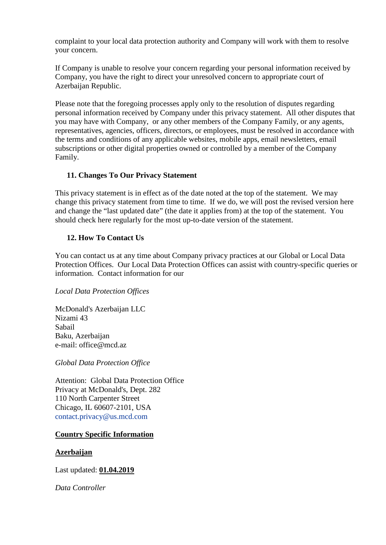complaint to your local data protection authority and Company will work with them to resolve your concern.

If Company is unable to resolve your concern regarding your personal information received by Company, you have the right to direct your unresolved concern to appropriate court of Azerbaijan Republic.

Please note that the foregoing processes apply only to the resolution of disputes regarding personal information received by Company under this privacy statement. All other disputes that you may have with Company, or any other members of the Company Family, or any agents, representatives, agencies, officers, directors, or employees, must be resolved in accordance with the terms and conditions of any applicable websites, mobile apps, email newsletters, email subscriptions or other digital properties owned or controlled by a member of the Company Family.

## **11. Changes To Our Privacy Statement**

This privacy statement is in effect as of the date noted at the top of the statement. We may change this privacy statement from time to time. If we do, we will post the revised version here and change the "last updated date" (the date it applies from) at the top of the statement. You should check here regularly for the most up-to-date version of the statement.

## **12. How To Contact Us**

You can contact us at any time about Company privacy practices at our Global or Local Data Protection Offices. Our Local Data Protection Offices can assist with country-specific queries or information. Contact information for our

## *Local Data Protection Offices*

McDonald's Azerbaijan LLC Nizami 43 Sabail Baku, Azerbaijan e-mail: office@mcd.az

*Global Data Protection Office* 

Attention: Global Data Protection Office Privacy at McDonald's, Dept. 282 110 North Carpenter Street Chicago, IL 60607-2101, USA [contact.privacy@us.mcd.com](mailto:contact.privacy@us.mcd.com)

## **Country Specific Information**

## **Azerbaijan**

Last updated: **01.04.2019**

*Data Controller*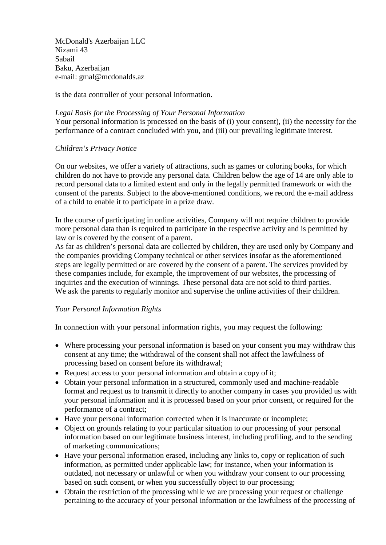McDonald's Azerbaijan LLC Nizami 43 Sabail Baku, Azerbaijan e-mail: gmal@mcdonalds.az

is the data controller of your personal information.

#### *Legal Basis for the Processing of Your Personal Information*

Your personal information is processed on the basis of (i) your consent), (ii) the necessity for the performance of a contract concluded with you, and (iii) our prevailing legitimate interest.

## *Children's Privacy Notice*

On our websites, we offer a variety of attractions, such as games or coloring books, for which children do not have to provide any personal data. Children below the age of 14 are only able to record personal data to a limited extent and only in the legally permitted framework or with the consent of the parents. Subject to the above-mentioned conditions, we record the e-mail address of a child to enable it to participate in a prize draw.

In the course of participating in online activities, Company will not require children to provide more personal data than is required to participate in the respective activity and is permitted by law or is covered by the consent of a parent.

As far as children's personal data are collected by children, they are used only by Company and the companies providing Company technical or other services insofar as the aforementioned steps are legally permitted or are covered by the consent of a parent. The services provided by these companies include, for example, the improvement of our websites, the processing of inquiries and the execution of winnings. These personal data are not sold to third parties. We ask the parents to regularly monitor and supervise the online activities of their children.

#### *Your Personal Information Rights*

In connection with your personal information rights, you may request the following:

- Where processing your personal information is based on your consent you may withdraw this consent at any time; the withdrawal of the consent shall not affect the lawfulness of processing based on consent before its withdrawal;
- Request access to your personal information and obtain a copy of it:
- Obtain your personal information in a structured, commonly used and machine-readable format and request us to transmit it directly to another company in cases you provided us with your personal information and it is processed based on your prior consent, or required for the performance of a contract;
- Have your personal information corrected when it is inaccurate or incomplete;
- Object on grounds relating to your particular situation to our processing of your personal information based on our legitimate business interest, including profiling, and to the sending of marketing communications;
- Have your personal information erased, including any links to, copy or replication of such information, as permitted under applicable law; for instance, when your information is outdated, not necessary or unlawful or when you withdraw your consent to our processing based on such consent, or when you successfully object to our processing;
- Obtain the restriction of the processing while we are processing your request or challenge pertaining to the accuracy of your personal information or the lawfulness of the processing of